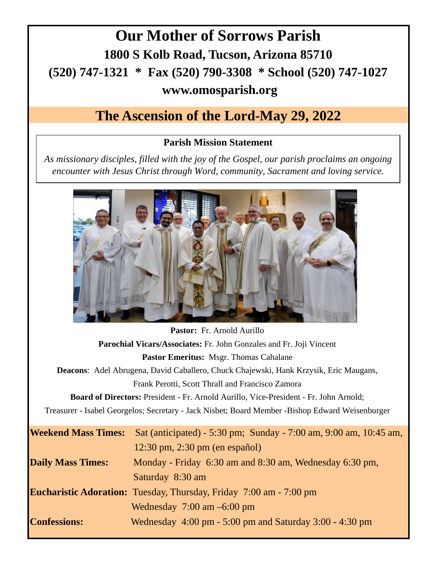## **Our Mother of Sorrows Parish 1800 S Kolb Road, Tucson, Arizona 85710 (520) 747-1321 \* Fax (520) 790-3308 \* School (520) 747-1027 www.omosparish.org**

## **The Ascension of the Lord-May 29, 2022**

### **Parish Mission Statement**

*As missionary disciples, filled with the joy of the Gospel, our parish proclaims an ongoing encounter with Jesus Christ through Word, community, Sacrament and loving service.* 



|                                                                                                 | <b>Pastor:</b> Fr. Arnold Aurillo                                         |  |  |  |
|-------------------------------------------------------------------------------------------------|---------------------------------------------------------------------------|--|--|--|
| Parochial Vicars/Associates: Fr. John Gonzales and Fr. Joji Vincent                             |                                                                           |  |  |  |
| <b>Pastor Emeritus: Msgr. Thomas Cahalane</b>                                                   |                                                                           |  |  |  |
| <b>Deacons:</b> Adel Abrugena, David Caballero, Chuck Chajewski, Hank Krzysik, Eric Maugans,    |                                                                           |  |  |  |
|                                                                                                 | Frank Perotti, Scott Thrall and Francisco Zamora                          |  |  |  |
| <b>Board of Directors:</b> President - Fr. Arnold Aurillo, Vice-President - Fr. John Arnold;    |                                                                           |  |  |  |
| Treasurer - Isabel Georgelos; Secretary - Jack Nisbet; Board Member -Bishop Edward Weisenburger |                                                                           |  |  |  |
| <b>Weekend Mass Times:</b>                                                                      | Sat (anticipated) - 5:30 pm; Sunday - 7:00 am, 9:00 am, 10:45 am,         |  |  |  |
|                                                                                                 | $12:30 \text{ pm}$ , $2:30 \text{ pm}$ (en español)                       |  |  |  |
| <b>Daily Mass Times:</b>                                                                        | Monday - Friday 6:30 am and 8:30 am, Wednesday 6:30 pm,                   |  |  |  |
|                                                                                                 | Saturday 8:30 am                                                          |  |  |  |
|                                                                                                 | <b>Eucharistic Adoration:</b> Tuesday, Thursday, Friday 7:00 am - 7:00 pm |  |  |  |
|                                                                                                 | Wednesday $7:00 \text{ am } -6:00 \text{ pm}$                             |  |  |  |
| <b>Confessions:</b>                                                                             | Wednesday $4:00 \text{ pm} - 5:00 \text{ pm}$ and Saturday 3:00 - 4:30 pm |  |  |  |
|                                                                                                 |                                                                           |  |  |  |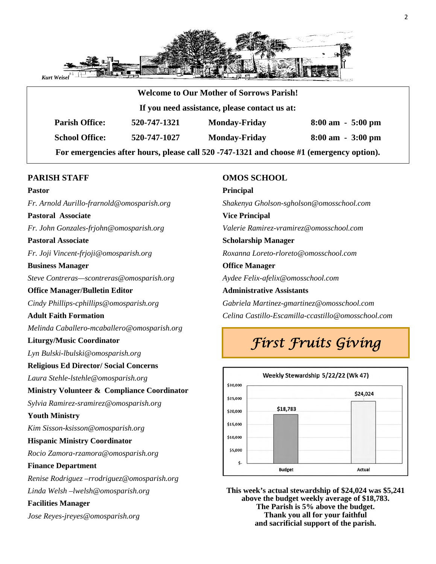

|                       |                                               | <b>Welcome to Our Mother of Sorrows Parish!</b> |                                     |  |  |
|-----------------------|-----------------------------------------------|-------------------------------------------------|-------------------------------------|--|--|
|                       | If you need assistance, please contact us at: |                                                 |                                     |  |  |
| <b>Parish Office:</b> | 520-747-1321                                  | <b>Monday-Friday</b>                            | $8:00 \text{ am } -5:00 \text{ pm}$ |  |  |
| <b>School Office:</b> | 520-747-1027                                  | <b>Monday-Friday</b>                            | $8:00 \text{ am } -3:00 \text{ pm}$ |  |  |

### **PARISH STAFF**

### **Pastor**

*Fr. Arnold Aurillo-frarnold@omosparish.org* 

### **Pastoral Associate**

*Fr. John Gonzales-frjohn@omosparish.org* 

**Pastoral Associate** 

*Fr. Joji Vincent-frjoji@omosparish.org*

### **Business Manager**

*Steve Contreras—scontreras@omosparish.org* 

### **Office Manager/Bulletin Editor**

*Cindy Phillips-cphillips@omosparish.org* 

### **Adult Faith Formation**

*Melinda Caballero-mcaballero@omosparish.org* 

### **Liturgy/Music Coordinator**

*Lyn Bulski-lbulski@omosparish.org* 

### **Religious Ed Director/ Social Concerns**

*Laura Stehle-lstehle@omosparish.org*

### **Ministry Volunteer & Compliance Coordinator**

*Sylvia Ramirez-sramirez@omosparish.org*

### **Youth Ministry**

*Kim Sisson-ksisson@omosparish.org* 

### **Hispanic Ministry Coordinator**

*Rocio Zamora-rzamora@omosparish.org* 

### **Finance Department**

*Renise Rodriguez –rrodriguez@omosparish.org Linda Welsh –lwelsh@omosparish.org* 

### **Facilities Manager**

*Jose Reyes-jreyes@omosparish.org* 

### **OMOS SCHOOL**

**Principal** *Shakenya Gholson-sgholson@omosschool.com*  **Vice Principal** *Valerie Ramirez-vramirez@omosschool.com*  **Scholarship Manager** *Roxanna Loreto-rloreto@omosschool.com*  **Office Manager**  *Aydee Felix-afelix@omosschool.com*  **Administrative Assistants** *Gabriela Martinez-gmartinez@omosschool.com Celina Castillo-Escamilla-ccastillo@omosschool.com* 

## *First Fruits Giving*



**This week's actual stewardship of \$24,024 was \$5,241 above the budget weekly average of \$18,783. The Parish is 5% above the budget. Thank you all for your faithful and sacrificial support of the parish.**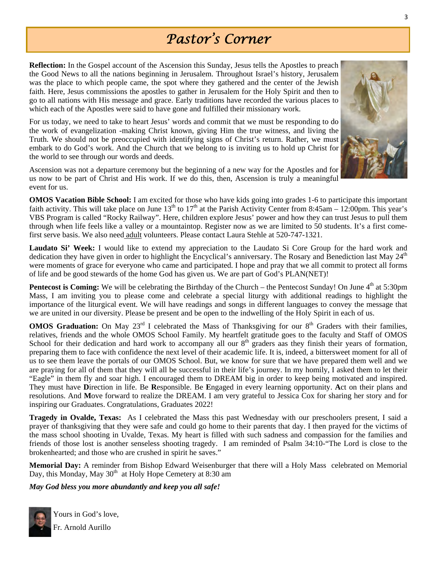## *Pastor's Corner*

**Reflection:** In the Gospel account of the Ascension this Sunday, Jesus tells the Apostles to preach the Good News to all the nations beginning in Jerusalem. Throughout Israel's history, Jerusalem was the place to which people came, the spot where they gathered and the center of the Jewish faith. Here, Jesus commissions the apostles to gather in Jerusalem for the Holy Spirit and then to go to all nations with His message and grace. Early traditions have recorded the various places to which each of the Apostles were said to have gone and fulfilled their missionary work.

For us today, we need to take to heart Jesus' words and commit that we must be responding to do the work of evangelization -making Christ known, giving Him the true witness, and living the Truth. We should not be preoccupied with identifying signs of Christ's return. Rather, we must embark to do God's work. And the Church that we belong to is inviting us to hold up Christ for the world to see through our words and deeds.

Ascension was not a departure ceremony but the beginning of a new way for the Apostles and for us now to be part of Christ and His work. If we do this, then, Ascension is truly a meaningful event for us.

**OMOS Vacation Bible School:** I am excited for those who have kids going into grades 1-6 to participate this important faith activity. This will take place on June 13<sup>th</sup> to 17<sup>th</sup> at the Parish Activity Center from 8:45am – 12:00pm. This year's VBS Program is called "Rocky Railway". Here, children explore Jesus' power and how they can trust Jesus to pull them through when life feels like a valley or a mountaintop. Register now as we are limited to 50 students. It's a first comefirst serve basis. We also need adult volunteers. Please contact Laura Stehle at 520-747-1321.

**Laudato Si' Week:** I would like to extend my appreciation to the Laudato Si Core Group for the hard work and dedication they have given in order to highlight the Encyclical's anniversary. The Rosary and Benediction last May  $24<sup>th</sup>$ were moments of grace for everyone who came and participated. I hope and pray that we all commit to protect all forms of life and be good stewards of the home God has given us. We are part of God's PLAN(NET)!

**Pentecost is Coming:** We will be celebrating the Birthday of the Church – the Pentecost Sunday! On June 4<sup>th</sup> at 5:30pm Mass, I am inviting you to please come and celebrate a special liturgy with additional readings to highlight the importance of the liturgical event. We will have readings and songs in different languages to convey the message that we are united in our diversity. Please be present and be open to the indwelling of the Holy Spirit in each of us.

**OMOS Graduation:** On May 23<sup>rd</sup> I celebrated the Mass of Thanksgiving for our 8<sup>th</sup> Graders with their families, relatives, friends and the whole OMOS School Family. My heartfelt gratitude goes to the faculty and Staff of OMOS School for their dedication and hard work to accompany all our  $8<sup>th</sup>$  graders aas they finish their years of formation, preparing them to face with confidence the next level of their academic life. It is, indeed, a bittersweet moment for all of us to see them leave the portals of our OMOS School. But, we know for sure that we have prepared them well and we are praying for all of them that they will all be successful in their life's journey. In my homily, I asked them to let their "Eagle" in them fly and soar high. I encouraged them to DREAM big in order to keep being motivated and inspired. They must have **D**irection in life. Be **R**esponsible. Be **E**ngaged in every learning opportunity. **A**ct on their plans and resolutions. And **M**ove forward to realize the DREAM. I am very grateful to Jessica Cox for sharing her story and for inspiring our Graduates. Congratulations, Graduates 2022!

**Tragedy in Ovalde, Texas:** As I celebrated the Mass this past Wednesday with our preschoolers present, I said a prayer of thanksgiving that they were safe and could go home to their parents that day. I then prayed for the victims of the mass school shooting in Uvalde, Texas. My heart is filled with such sadness and compassion for the families and friends of those lost is another senseless shooting tragedy. I am reminded of Psalm 34:10-"The Lord is close to the brokenhearted; and those who are crushed in spirit he saves."

**Memorial Day:** A reminder from Bishop Edward Weisenburger that there will a Holy Mass celebrated on Memorial Day, this Monday, May 30<sup>th</sup> at Holy Hope Cemetery at 8:30 am

*May God bless you more abundantly and keep you all safe!* 



Yours in God's love, Fr. Arnold Aurillo

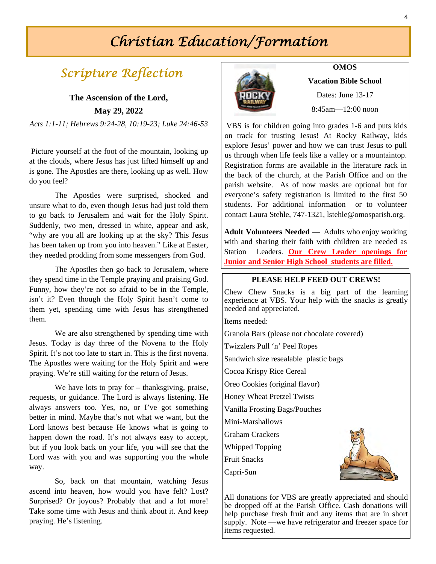## *Christian Education/Formation*

## *Scripture Reflection* **OMOS**

### **The Ascension of the Lord, May 29, 2022**

*Acts 1:1-11; Hebrews 9:24-28, 10:19-23; Luke 24:46-53*

 Picture yourself at the foot of the mountain, looking up at the clouds, where Jesus has just lifted himself up and is gone. The Apostles are there, looking up as well. How do you feel?

 The Apostles were surprised, shocked and unsure what to do, even though Jesus had just told them to go back to Jerusalem and wait for the Holy Spirit. Suddenly, two men, dressed in white, appear and ask, "why are you all are looking up at the sky? This Jesus has been taken up from you into heaven." Like at Easter, they needed prodding from some messengers from God.

 The Apostles then go back to Jerusalem, where they spend time in the Temple praying and praising God. Funny, how they're not so afraid to be in the Temple, isn't it? Even though the Holy Spirit hasn't come to them yet, spending time with Jesus has strengthened them.

 We are also strengthened by spending time with Jesus. Today is day three of the Novena to the Holy Spirit. It's not too late to start in. This is the first novena. The Apostles were waiting for the Holy Spirit and were praying. We're still waiting for the return of Jesus.

We have lots to pray for – thanksgiving, praise, requests, or guidance. The Lord is always listening. He always answers too. Yes, no, or I've got something better in mind. Maybe that's not what we want, but the Lord knows best because He knows what is going to happen down the road. It's not always easy to accept, but if you look back on your life, you will see that the Lord was with you and was supporting you the whole way.

 So, back on that mountain, watching Jesus ascend into heaven, how would you have felt? Lost? Surprised? Or joyous? Probably that and a lot more! Take some time with Jesus and think about it. And keep praying. He's listening.



**Vacation Bible School**  Dates: June 13-17

8:45am—12:00 noon

VBS is for children going into grades 1-6 and puts kids on track for trusting Jesus! At Rocky Railway, kids explore Jesus' power and how we can trust Jesus to pull us through when life feels like a valley or a mountaintop. Registration forms are available in the literature rack in the back of the church, at the Parish Office and on the parish website. As of now masks are optional but for everyone's safety registration is limited to the first 50 students. For additional information or to volunteer contact Laura Stehle, 747-1321, lstehle@omosparish.org.

**Adult Volunteers Needed** — Adults who enjoy working with and sharing their faith with children are needed as Station Leaders. **Our Crew Leader openings for Junior and Senior High School students are filled.**

### **PLEASE HELP FEED OUT CREWS!**

Chew Chew Snacks is a big part of the learning experience at VBS. Your help with the snacks is greatly needed and appreciated.

Items needed:

Granola Bars (please not chocolate covered) Twizzlers Pull 'n' Peel Ropes Sandwich size resealable plastic bags Cocoa Krispy Rice Cereal Oreo Cookies (original flavor) Honey Wheat Pretzel Twists Vanilla Frosting Bags/Pouches Mini-Marshallows Graham Crackers Whipped Topping Fruit Snacks

Capri-Sun



All donations for VBS are greatly appreciated and should be dropped off at the Parish Office. Cash donations will help purchase fresh fruit and any items that are in short supply. Note —we have refrigerator and freezer space for items requested.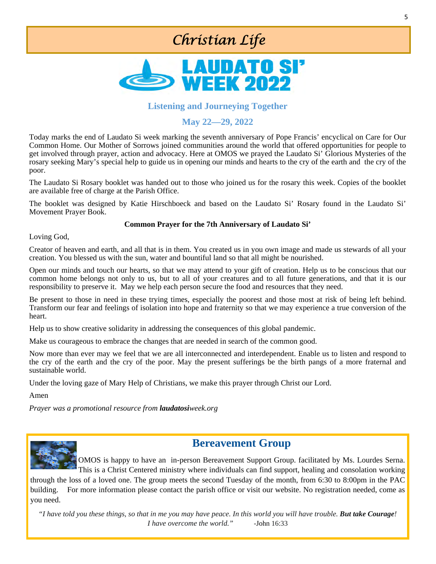## *Christian Life*



### **Listening and Journeying Together**

### **May 22—29, 2022**

Today marks the end of Laudato Si week marking the seventh anniversary of Pope Francis' encyclical on Care for Our Common Home. Our Mother of Sorrows joined communities around the world that offered opportunities for people to get involved through prayer, action and advocacy. Here at OMOS we prayed the Laudato Si' Glorious Mysteries of the rosary seeking Mary's special help to guide us in opening our minds and hearts to the cry of the earth and the cry of the poor.

The Laudato Si Rosary booklet was handed out to those who joined us for the rosary this week. Copies of the booklet are available free of charge at the Parish Office.

The booklet was designed by Katie Hirschboeck and based on the Laudato Si' Rosary found in the Laudato Si' Movement Prayer Book.

### **Common Prayer for the 7th Anniversary of Laudato Si'**

Loving God,

Creator of heaven and earth, and all that is in them. You created us in you own image and made us stewards of all your creation. You blessed us with the sun, water and bountiful land so that all might be nourished.

Open our minds and touch our hearts, so that we may attend to your gift of creation. Help us to be conscious that our common home belongs not only to us, but to all of your creatures and to all future generations, and that it is our responsibility to preserve it. May we help each person secure the food and resources that they need.

Be present to those in need in these trying times, especially the poorest and those most at risk of being left behind. Transform our fear and feelings of isolation into hope and fraternity so that we may experience a true conversion of the heart.

Help us to show creative solidarity in addressing the consequences of this global pandemic.

Make us courageous to embrace the changes that are needed in search of the common good.

Now more than ever may we feel that we are all interconnected and interdependent. Enable us to listen and respond to the cry of the earth and the cry of the poor. May the present sufferings be the birth pangs of a more fraternal and sustainable world.

Under the loving gaze of Mary Help of Christians, we make this prayer through Christ our Lord.

Amen

*Prayer was a promotional resource from laudatosiweek.org* 



### **Bereavement Group**

OMOS is happy to have an in-person Bereavement Support Group. facilitated by Ms. Lourdes Serna. This is a Christ Centered ministry where individuals can find support, healing and consolation working through the loss of a loved one. The group meets the second Tuesday of the month, from 6:30 to 8:00pm in the PAC building. For more information please contact the parish office or visit our website. No registration needed, come as you need.

*"I have told you these things, so that in me you may have peace. In this world you will have trouble. But take Courage! I have overcome the world." -*John 16:33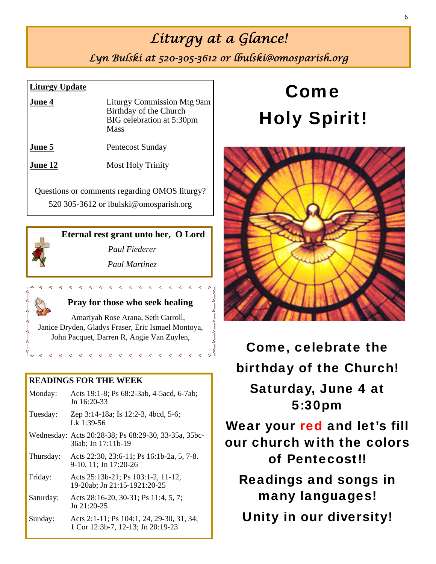## *Liturgy at a Glance!*

*Lyn Bulski at 520-305-3612 or lbulski@omosparish.org* 

### **Liturgy Update**

| June 4 | <b>Liturgy Commission Mtg 9am</b><br>Birthday of the Church<br>BIG celebration at 5:30pm<br><b>Mass</b> |
|--------|---------------------------------------------------------------------------------------------------------|
| June 5 | Pentecost Sunday                                                                                        |

**June 12** Most Holy Trinity

Questions or comments regarding OMOS liturgy? 520 305-3612 or lbulski@omosparish.org

### **Eternal rest grant unto her, O Lord**

*Paul Fiederer* 

*Paul Martinez*



### **Pray for those who seek healing**

Amariyah Rose Arana, Seth Carroll, Janice Dryden, Gladys Fraser, Eric Ismael Montoya, John Pacquet, Darren R, Angie Van Zuylen,

### **READINGS FOR THE WEEK**

| Monday:   | Acts 19:1-8; Ps 68:2-3ab, 4-5acd, 6-7ab;<br>Jn $16:20-33$                      |
|-----------|--------------------------------------------------------------------------------|
| Tuesday:  | Zep 3:14-18a; Is 12:2-3, 4bcd, 5-6;<br>Lk 1:39-56                              |
|           | Wednesday: Acts 20:28-38; Ps 68:29-30, 33-35a, 35bc-<br>36ab; Jn 17:11b-19     |
| Thursday: | Acts 22:30, 23:6-11; Ps 16:1b-2a, 5, 7-8.<br>9-10, 11; Jn 17:20-26             |
| Friday:   | Acts 25:13b-21; Ps 103:1-2, 11-12,<br>19-20ab; Jn 21:15-1921:20-25             |
| Saturday: | Acts 28:16-20, 30-31; Ps 11:4, 5, 7;<br>$Jn$ 21:20-25                          |
| Sunday:   | Acts 2:1-11; Ps 104:1, 24, 29-30, 31, 34;<br>1 Cor 12:3b-7, 12-13; Jn 20:19-23 |

# Come Holy Spirit!



Come, celebrate the birthday of the Church! Saturday, June 4 at 5:30pm Wear your red and let's fill our church with the colors of Pentecost!! Readings and songs in many languages! Unity in our diversity!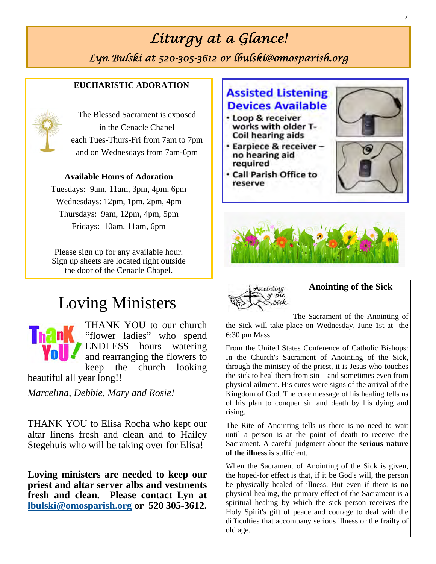# *Liturgy at a Glance!*

*Lyn Bulski at 520-305-3612 or lbulski@omosparish.org* 

### **EUCHARISTIC ADORATION**



The Blessed Sacrament is exposed in the Cenacle Chapel each Tues-Thurs-Fri from 7am to 7pm and on Wednesdays from 7am-6pm

### **Available Hours of Adoration**

Tuesdays: 9am, 11am, 3pm, 4pm, 6pm Wednesdays: 12pm, 1pm, 2pm, 4pm Thursdays: 9am, 12pm, 4pm, 5pm Fridays: 10am, 11am, 6pm

Please sign up for any available hour. Sign up sheets are located right outside the door of the Cenacle Chapel.

## Loving Ministers



beautiful all year long!!

*Marcelina, Debbie, Mary and Rosie!* 

THANK YOU to Elisa Rocha who kept our altar linens fresh and clean and to Hailey Stegehuis who will be taking over for Elisa!

**Loving ministers are needed to keep our priest and altar server albs and vestments fresh and clean. Please contact Lyn at lbulski@omosparish.org or 520 305-3612.** 

## **Assisted Listening Devices Available**

- · Loop & receiver works with older T-Coil hearing aids
- Earpiece & receiver no hearing aid required
- **Call Parish Office to** reserve









**Anointing of the Sick** 

The Sacrament of the Anointing of the Sick will take place on Wednesday, June 1st at the 6:30 pm Mass.

From the United States Conference of Catholic Bishops: In the Church's Sacrament of Anointing of the Sick, through the ministry of the priest, it is Jesus who touches the sick to heal them from sin – and sometimes even from physical ailment. His cures were signs of the arrival of the Kingdom of God. The core message of his healing tells us of his plan to conquer sin and death by his dying and rising.

The Rite of Anointing tells us there is no need to wait until a person is at the point of death to receive the Sacrament. A careful judgment about the **serious nature of the illness** is sufficient.

When the Sacrament of Anointing of the Sick is given, the hoped-for effect is that, if it be God's will, the person be physically healed of illness. But even if there is no physical healing, the primary effect of the Sacrament is a spiritual healing by which the sick person receives the Holy Spirit's gift of peace and courage to deal with the difficulties that accompany serious illness or the frailty of old age.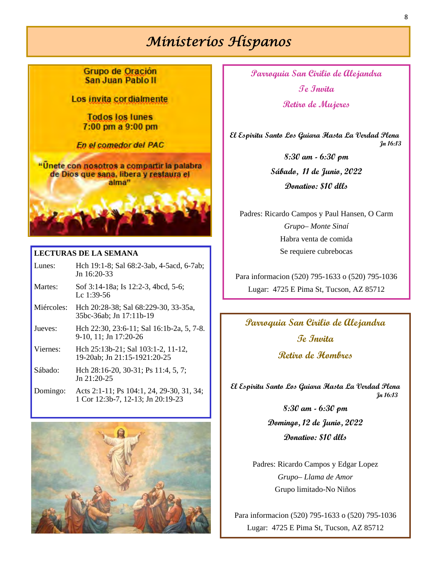## *Ministerios Hispanos*

Grupo de Oración San Juan Pablo II

Los invita cordialmente

**Todos los lunes** 7:00 pm a 9:00 pm

En el comedor del PAC

"Unete con nosotros a compartir la palabra de Dios que sana, libera y restaura el alma"

### **LECTURAS DE LA SEMANA**

- Lunes: Hch 19:1-8; Sal 68:2-3ab, 4-5acd, 6-7ab; Jn 16:20-33
- Martes: Sof 3:14-18a; Is 12:2-3, 4bcd, 5-6; Lc 1:39-56
- Miércoles: Hch 20:28-38; Sal 68:229-30, 33-35a, 35bc-36ab; Jn 17:11b-19
- Jueves: Hch 22:30, 23:6-11; Sal 16:1b-2a, 5, 7-8. 9-10, 11; Jn 17:20-26
- Viernes: Hch 25:13b-21; Sal 103:1-2, 11-12, 19-20ab; Jn 21:15-1921:20-25
- Sábado: Hch 28:16-20, 30-31; Ps 11:4, 5, 7; Jn 21:20-25
- Domingo: Acts 2:1-11; Ps 104:1, 24, 29-30, 31, 34; 1 Cor 12:3b-7, 12-13; Jn 20:19-23



**Parroquia San Cirilio de Alejandra Te Invita Retiro de Mujeres** 

 **El Espiritu Santo Los Guiara Hasta La Verdad Plena Jn 16:13**

> **8:30 am - 6:30 pm Sábado, 11 de Junio, 2022 Donativo: \$10 dlls**

Padres: Ricardo Campos y Paul Hansen, O Carm *Grupo– Monte Sinaí*  Habra venta de comida Se requiere cubrebocas

Para informacion (520) 795-1633 o (520) 795-1036 Lugar: 4725 E Pima St, Tucson, AZ 85712

## **Parroquia San Cirilio de Alejandra Te Invita**

**Retiro de Hombres** 

**El Espiritu Santo Los Guiara Hasta La Verdad Plena Jn 16:13**

> **8:30 am - 6:30 pm Domingo, 12 de Junio, 2022 Donativo: \$10 dlls**

Padres: Ricardo Campos y Edgar Lopez *Grupo– Llama de Amor*  Grupo limitado-No Niños

Para informacion (520) 795-1633 o (520) 795-1036 Lugar: 4725 E Pima St, Tucson, AZ 85712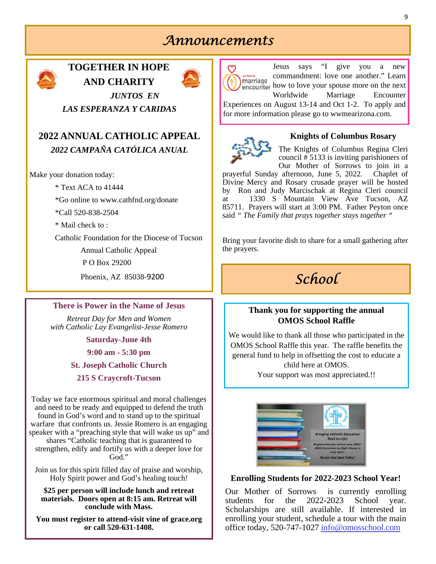## *Announcements*



### **TOGETHER IN HOPE AND CHARITY**



*JUNTOS EN LAS ESPERANZA Y CARIDAS* 

### **2022 ANNUAL CATHOLIC APPEAL**  *2022 CAMPAÑA CATÓLICA ANUAL*

Make your donation today:

\* Text ACA to 41444

\*Go online to www.cathfnd.org/donate

\*Call 520-838-2504

 $*$  Mail check to  $\cdot$ 

Catholic Foundation for the Diocese of Tucson

Annual Catholic Appeal

P O Box 29200

Phoenix, AZ 85038‐9200

### **There is Power in the Name of Jesus**

*Retreat Day for Men and Women with Catholic Lay Evangelist-Jesse Romero* 

**Saturday-June 4th** 

**9:00 am - 5:30 pm** 

**St. Joseph Catholic Church** 

**215 S Craycroft-Tucson** 

Today we face enormous spiritual and moral challenges and need to be ready and equipped to defend the truth found in God's word and to stand up to the spiritual warfare that confronts us. Jessie Romero is an engaging speaker with a "preaching style that will wake us up" and shares "Catholic teaching that is guaranteed to strengthen, edify and fortify us with a deeper love for God."

Join us for this spirit filled day of praise and worship, Holy Spirit power and God's healing touch!

**\$25 per person will include lunch and retreat materials. Doors open at 8:15 am. Retreat will conclude with Mass.** 

**You must register to attend-visit vine of grace.org or call 520-631-1408.**



Jesus says "I give you a new commandment: love one another." Learn marriage encounter how to love your spouse more on the next Worldwide Marriage Encounter

Experiences on August 13-14 and Oct 1-2. To apply and for more information please go to wwmearizona.com.



### **Knights of Columbus Rosary**

The Knights of Columbus Regina Cleri council  $\frac{1}{2}$  5133 is inviting parishioners of Our Mother of Sorrows to join in a

prayerful Sunday afternoon, June 5, 2022. Chaplet of Divine Mercy and Rosary crusade prayer will be hosted by Ron and Judy Marcischak at Regina Cleri council at 1330 S Mountain View Ave Tucson, AZ 85711. Prayers will start at 3:00 PM. Father Peyton once said *" The Family that prays together stays together "* 

Bring your favorite dish to share for a small gathering after the prayers.

## *School*

### **Thank you for supporting the annual OMOS School Raffle**

We would like to thank all those who participated in the OMOS School Raffle this year. The raffle benefits the general fund to help in offsetting the cost to educate a child here at OMOS.

Your support was most appreciated.!!



### **Enrolling Students for 2022-2023 School Year!**

Our Mother of Sorrows is currently enrolling students for the 2022-2023 School year. Scholarships are still available. If interested in enrolling your student, schedule a tour with the main office today, 520-747-1027 info@omosschool.com